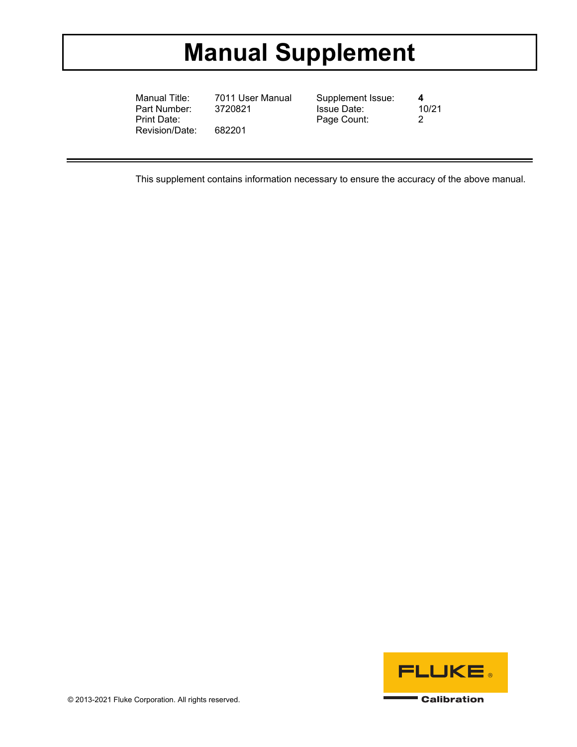# **Manual Supplement**

Manual Title: 7011 User Manual Supplement Issue: **4**  Part Number: Print Date: 082201 Page Count: 2<br>Revision/Date: 682201 Revision/Date:

This supplement contains information necessary to ensure the accuracy of the above manual.

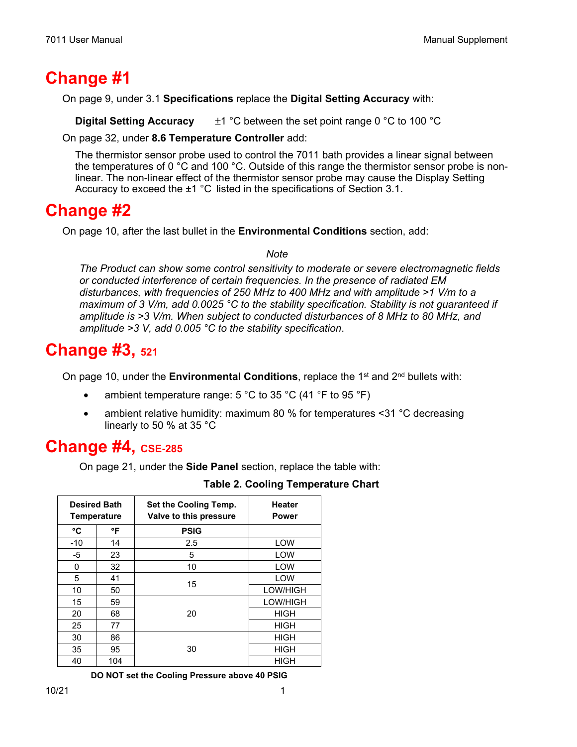### **Change #1**

On page 9, under 3.1 **Specifications** replace the **Digital Setting Accuracy** with:

**Digital Setting Accuracy** ±1 °C between the set point range 0 °C to 100 °C

On page 32, under **8.6 Temperature Controller** add:

 The thermistor sensor probe used to control the 7011 bath provides a linear signal between the temperatures of 0  $^{\circ}$ C and 100  $^{\circ}$ C. Outside of this range the thermistor sensor probe is nonlinear. The non-linear effect of the thermistor sensor probe may cause the Display Setting Accuracy to exceed the ±1 °C listed in the specifications of Section 3.1.

### **Change #2**

On page 10, after the last bullet in the **Environmental Conditions** section, add:

#### *Note*

*The Product can show some control sensitivity to moderate or severe electromagnetic fields or conducted interference of certain frequencies. In the presence of radiated EM disturbances, with frequencies of 250 MHz to 400 MHz and with amplitude >1 V/m to a maximum of 3 V/m, add 0.0025 °C to the stability specification. Stability is not guaranteed if amplitude is >3 V/m. When subject to conducted disturbances of 8 MHz to 80 MHz, and amplitude >3 V, add 0.005 °C to the stability specification*.

## **Change #3, 521**

On page 10, under the **Environmental Conditions**, replace the 1<sup>st</sup> and 2<sup>nd</sup> bullets with:

- ambient temperature range:  $5^{\circ}$ C to 35  $^{\circ}$ C (41  $^{\circ}$ F to 95  $^{\circ}$ F)
- ambient relative humidity: maximum 80 % for temperatures <31 °C decreasing linearly to 50 % at 35 °C

### **Change #4, CSE-285**

On page 21, under the **Side Panel** section, replace the table with:

| <b>Desired Bath</b><br><b>Temperature</b> |     | Set the Cooling Temp.<br>Valve to this pressure | <b>Heater</b><br><b>Power</b> |
|-------------------------------------------|-----|-------------------------------------------------|-------------------------------|
| ۰c                                        | °F  | <b>PSIG</b>                                     |                               |
| $-10$                                     | 14  | 2.5                                             | LOW                           |
| -5                                        | 23  | 5                                               | LOW                           |
| 0                                         | 32  | 10                                              | LOW                           |
| 5                                         | 41  | 15                                              | LOW                           |
| 10                                        | 50  |                                                 | LOW/HIGH                      |
| 15                                        | 59  | 20                                              | LOW/HIGH                      |
| 20                                        | 68  |                                                 | <b>HIGH</b>                   |
| 25                                        | 77  |                                                 | <b>HIGH</b>                   |
| 30                                        | 86  | 30                                              | <b>HIGH</b>                   |
| 35                                        | 95  |                                                 | <b>HIGH</b>                   |
| 40                                        | 104 |                                                 | HIGH                          |

### **Table 2. Cooling Temperature Chart**

**DO NOT set the Cooling Pressure above 40 PSIG**